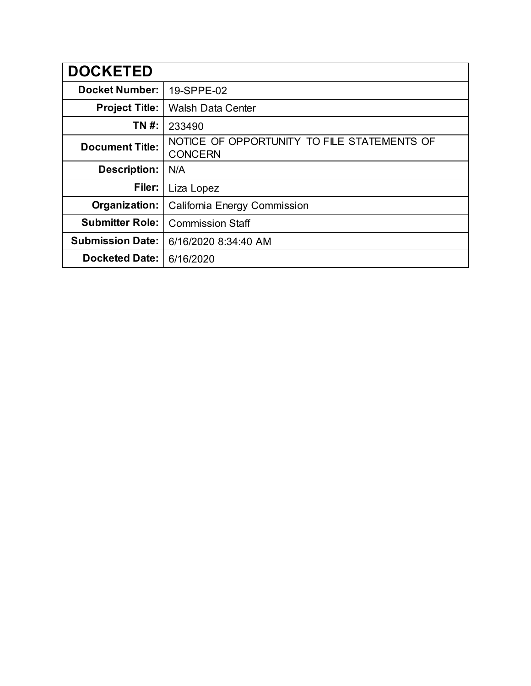| <b>DOCKETED</b>         |                                                               |
|-------------------------|---------------------------------------------------------------|
| <b>Docket Number:</b>   | 19-SPPE-02                                                    |
| <b>Project Title:</b>   | <b>Walsh Data Center</b>                                      |
| TN #:                   | 233490                                                        |
| <b>Document Title:</b>  | NOTICE OF OPPORTUNITY TO FILE STATEMENTS OF<br><b>CONCERN</b> |
| <b>Description:</b>     | N/A                                                           |
| Filer:                  | Liza Lopez                                                    |
| Organization:           | California Energy Commission                                  |
| <b>Submitter Role:</b>  | <b>Commission Staff</b>                                       |
| <b>Submission Date:</b> | 6/16/2020 8:34:40 AM                                          |
| <b>Docketed Date:</b>   | 6/16/2020                                                     |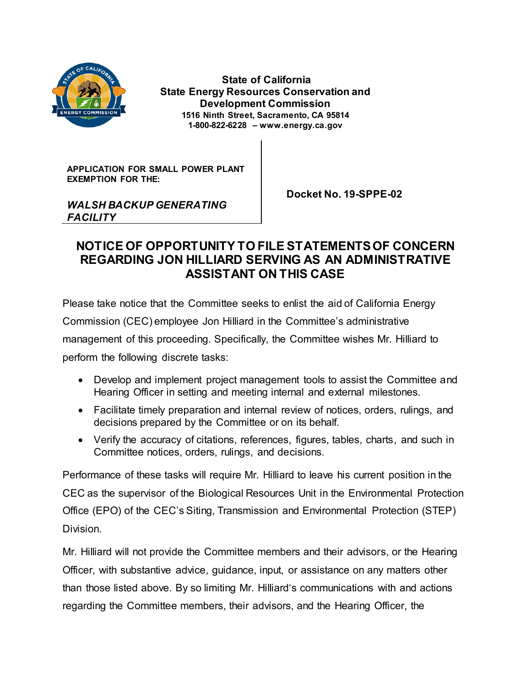

**State of California State Energy Resources Conservation and Development Commission 1516 Ninth Street, Sacramento, CA 95814 1-800-822-6228 – www.energy.ca.gov**

**APPLICATION FOR SMALL POWER PLANT EXEMPTION FOR THE:**

 **Docket No. 19-SPPE-02**

## *WALSH BACKUP GENERATING FACILITY*

# **NOTICE OF OPPORTUNITY TO FILE STATEMENTS OF CONCERN REGARDING JON HILLIARD SERVING AS AN ADMINISTRATIVE ASSISTANT ON THIS CASE**

Please take notice that the Committee seeks to enlist the aid of California Energy Commission (CEC) employee Jon Hilliard in the Committee's administrative management of this proceeding. Specifically, the Committee wishes Mr. Hilliard to perform the following discrete tasks:

- Develop and implement project management tools to assist the Committee and Hearing Officer in setting and meeting internal and external milestones.
- Facilitate timely preparation and internal review of notices, orders, rulings, and decisions prepared by the Committee or on its behalf.
- Verify the accuracy of citations, references, figures, tables, charts, and such in Committee notices, orders, rulings, and decisions.

Performance of these tasks will require Mr. Hilliard to leave his current position in the CEC as the supervisor of the Biological Resources Unit in the Environmental Protection Office (EPO) of the CEC's Siting, Transmission and Environmental Protection (STEP) Division.

Mr. Hilliard will not provide the Committee members and their advisors, or the Hearing Officer, with substantive advice, guidance, input, or assistance on any matters other than those listed above. By so limiting Mr. Hilliard's communications with and actions regarding the Committee members, their advisors, and the Hearing Officer, the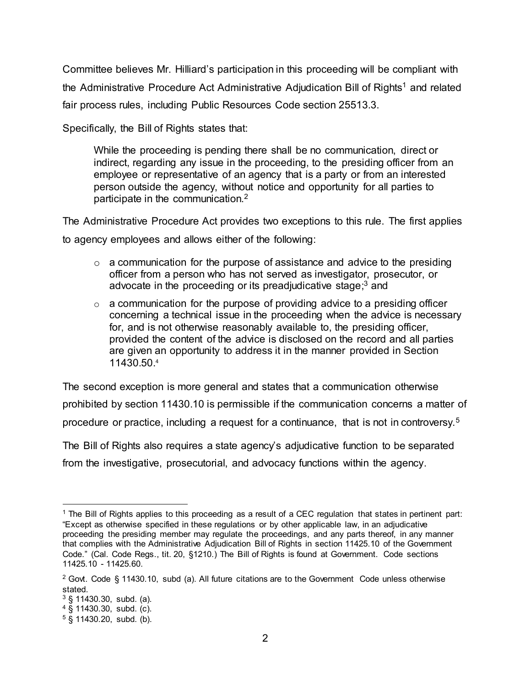Committee believes Mr. Hilliard's participation in this proceeding will be compliant with the Administrative Procedure Act Administrative Adjudication Bill of Rights<sup>1</sup> and related fair process rules, including Public Resources Code section 25513.3.

Specifically, the Bill of Rights states that:

While the proceeding is pending there shall be no communication, direct or indirect, regarding any issue in the proceeding, to the presiding officer from an employee or representative of an agency that is a party or from an interested person outside the agency, without notice and opportunity for all parties to participate in the communication.<sup>2</sup>

The Administrative Procedure Act provides two exceptions to this rule. The first applies to agency employees and allows either of the following:

- $\circ$  a communication for the purpose of assistance and advice to the presiding officer from a person who has not served as investigator, prosecutor, or advocate in the proceeding or its preadjudicative stage;<sup>3</sup> and
- $\circ$  a communication for the purpose of providing advice to a presiding officer concerning a technical issue in the proceeding when the advice is necessary for, and is not otherwise reasonably available to, the presiding officer, provided the content of the advice is disclosed on the record and all parties are given an opportunity to address it in the manner provided in Section 11430.50.<sup>4</sup>

The second exception is more general and states that a communication otherwise prohibited by section 11430.10 is permissible if the communication concerns a matter of procedure or practice, including a request for a continuance, that is not in controversy.<sup>5</sup>

The Bill of Rights also requires a state agency's adjudicative function to be separated from the investigative, prosecutorial, and advocacy functions within the agency.

 $\ddot{\phantom{a}}$ 

<sup>1</sup> The Bill of Rights applies to this proceeding as a result of a CEC regulation that states in pertinent part: "Except as otherwise specified in these regulations or by other applicable law, in an adjudicative proceeding the presiding member may regulate the proceedings, and any parts thereof, in any manner that complies with the Administrative Adjudication Bill of Rights in section 11425.10 of the Government Code." (Cal. Code Regs., tit. 20, §1210.) The Bill of Rights is found at Government. Code sections 11425.10 - 11425.60.

 $2$  Govt. Code § 11430.10, subd (a). All future citations are to the Government Code unless otherwise stated.

 $3 \text{ }$  \$ 11430.30, subd. (a).

<sup>4</sup> § 11430.30, subd. (c).

<sup>5</sup> § 11430.20, subd. (b).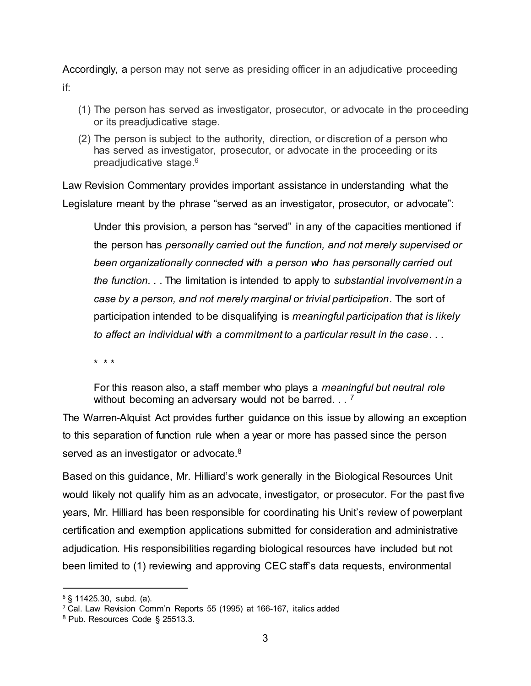Accordingly, a person may not serve as presiding officer in an adjudicative proceeding if:

- (1) The person has served as investigator, prosecutor, or advocate in the proceeding or its preadjudicative stage.
- (2) The person is subject to the authority, direction, or discretion of a person who has served as investigator, prosecutor, or advocate in the proceeding or its preadjudicative stage.<sup>6</sup>

Law Revision Commentary provides important assistance in understanding what the Legislature meant by the phrase "served as an investigator, prosecutor, or advocate":

Under this provision, a person has "served" in any of the capacities mentioned if the person has *personally carried out the function, and not merely supervised or been organizationally connected with a person who has personally carried out the function. .* . The limitation is intended to apply to *substantial involvement in a case by a person, and not merely marginal or trivial participation*. The sort of participation intended to be disqualifying is *meaningful participation that is likely to affect an individual with a commitment to a particular result in the case*. . .

\* \* \*

For this reason also, a staff member who plays a *meaningful but neutral role*  without becoming an adversary would not be barred.  $\ldots$ <sup>7</sup>

The Warren-Alquist Act provides further guidance on this issue by allowing an exception to this separation of function rule when a year or more has passed since the person served as an investigator or advocate.<sup>8</sup>

Based on this guidance, Mr. Hilliard's work generally in the Biological Resources Unit would likely not qualify him as an advocate, investigator, or prosecutor. For the past five years, Mr. Hilliard has been responsible for coordinating his Unit's review of powerplant certification and exemption applications submitted for consideration and administrative adjudication. His responsibilities regarding biological resources have included but not been limited to (1) reviewing and approving CEC staff's data requests, environmental

 $\ddot{\phantom{a}}$ 

 $6$  § 11425.30, subd. (a).

<sup>7</sup> Cal. Law Revision Comm'n Reports 55 (1995) at 166-167, italics added

<sup>8</sup> Pub. Resources Code § 25513.3.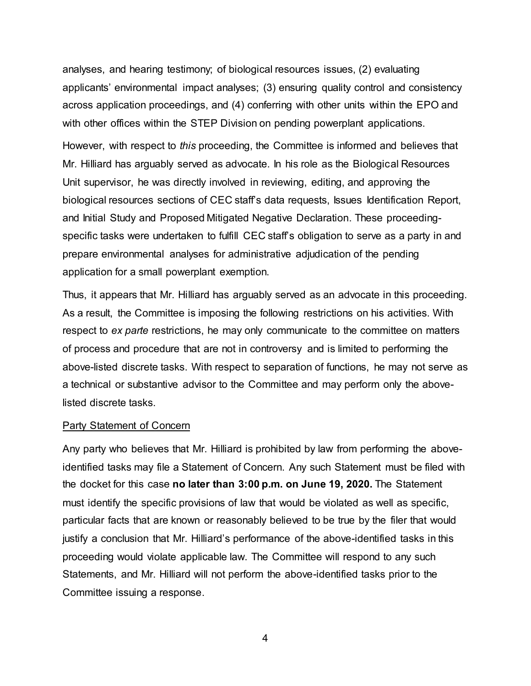analyses, and hearing testimony; of biological resources issues, (2) evaluating applicants' environmental impact analyses; (3) ensuring quality control and consistency across application proceedings, and (4) conferring with other units within the EPO and with other offices within the STEP Division on pending powerplant applications.

However, with respect to *this* proceeding, the Committee is informed and believes that Mr. Hilliard has arguably served as advocate. In his role as the Biological Resources Unit supervisor, he was directly involved in reviewing, editing, and approving the biological resources sections of CEC staff's data requests, Issues Identification Report, and Initial Study and Proposed Mitigated Negative Declaration. These proceedingspecific tasks were undertaken to fulfill CEC staff's obligation to serve as a party in and prepare environmental analyses for administrative adjudication of the pending application for a small powerplant exemption.

Thus, it appears that Mr. Hilliard has arguably served as an advocate in this proceeding. As a result, the Committee is imposing the following restrictions on his activities. With respect to *ex parte* restrictions, he may only communicate to the committee on matters of process and procedure that are not in controversy and is limited to performing the above-listed discrete tasks. With respect to separation of functions, he may not serve as a technical or substantive advisor to the Committee and may perform only the abovelisted discrete tasks.

#### Party Statement of Concern

Any party who believes that Mr. Hilliard is prohibited by law from performing the aboveidentified tasks may file a Statement of Concern. Any such Statement must be filed with the docket for this case **no later than 3:00 p.m. on June 19, 2020.** The Statement must identify the specific provisions of law that would be violated as well as specific, particular facts that are known or reasonably believed to be true by the filer that would justify a conclusion that Mr. Hilliard's performance of the above-identified tasks in this proceeding would violate applicable law. The Committee will respond to any such Statements, and Mr. Hilliard will not perform the above-identified tasks prior to the Committee issuing a response.

4